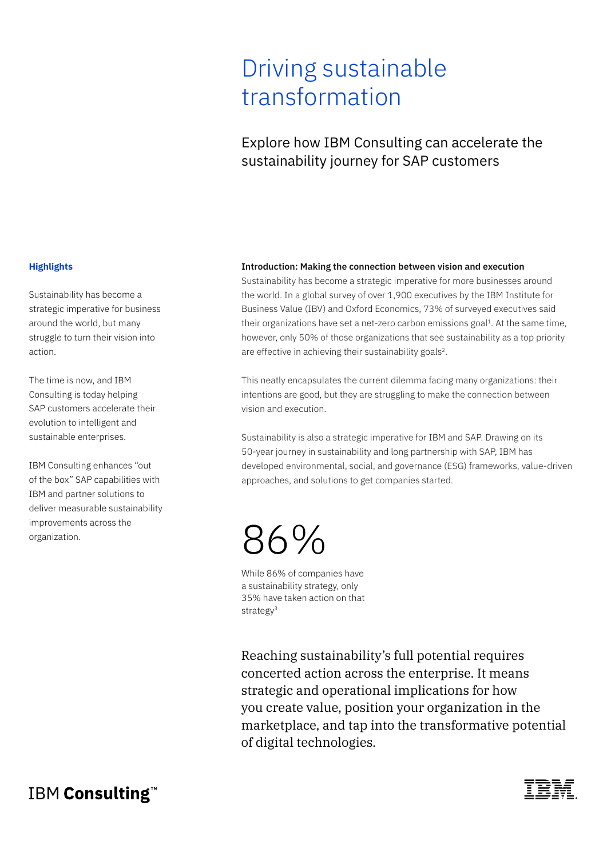## Driving sustainable transformation

### Explore how IBM Consulting can accelerate the sustainability journey for SAP customers

#### **Highlights**

Sustainability has become a strategic imperative for business around the world, but many struggle to turn their vision into action.

The time is now, and IBM Consulting is today helping SAP customers accelerate their evolution to intelligent and sustainable enterprises.

IBM Consulting enhances "out of the box" SAP capabilities with IBM and partner solutions to deliver measurable sustainability improvements across the organization.

#### **Introduction: Making the connection between vision and execution**

Sustainability has become a strategic imperative for more businesses around the world. In a global survey of over 1,900 executives by the IBM Institute for Business Value (IBV) and Oxford Economics, 73% of surveyed executives said their organizations have set a net-zero carbon emissions goal $1$ . At the same time, however, only 50% of those organizations that see sustainability as a top priority are effective in achieving their sustainability goals<sup>2</sup>.

This neatly encapsulates the current dilemma facing many organizations: their intentions are good, but they are struggling to make the connection between vision and execution.

Sustainability is also a strategic imperative for IBM and SAP. Drawing on its 50-year journey in sustainability and long partnership with SAP, IBM has developed environmental, social, and governance (ESG) frameworks, value-driven approaches, and solutions to get companies started.

# 86%

While 86% of companies have a sustainability strategy, only 35% have taken action on that strategy<sup>3</sup>

Reaching sustainability's full potential requires concerted action across the enterprise. It means strategic and operational implications for how you create value, position your organization in the marketplace, and tap into the transformative potential of digital technologies.

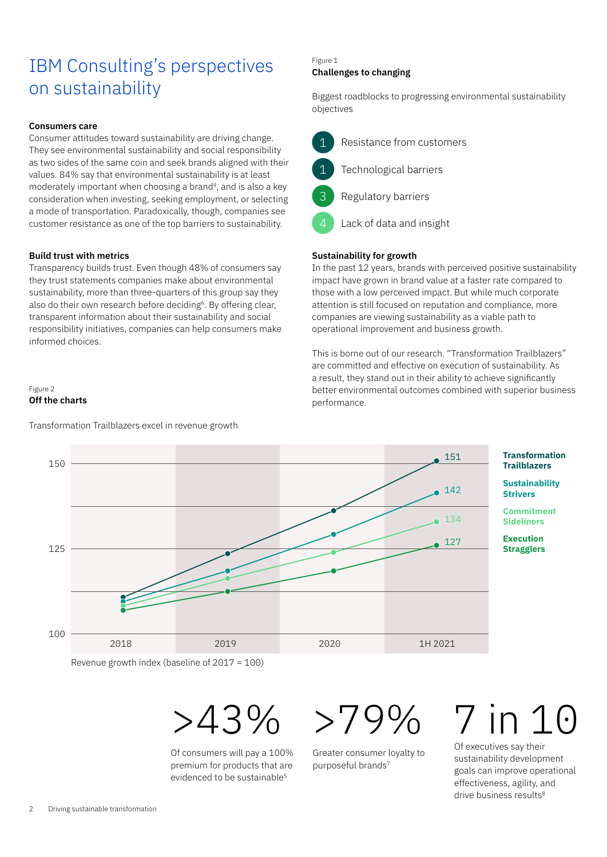## IBM Consulting's perspectives on sustainability

#### **Consumers care**

Consumer attitudes toward sustainability are driving change. They see environmental sustainability and social responsibility as two sides of the same coin and seek brands aligned with their values. 84% say that environmental sustainability is at least moderately important when choosing a brand<sup>4</sup>, and is also a key consideration when investing, seeking employment, or selecting a mode of transportation. Paradoxically, though, companies see customer resistance as one of the top barriers to sustainability.

#### **Build trust with metrics**

Transparency builds trust. Even though 48% of consumers say they trust statements companies make about environmental sustainability, more than three-quarters of this group say they also do their own research before deciding<sup>6</sup>. By offering clear, transparent information about their sustainability and social responsibility initiatives, companies can help consumers make informed choices.

#### Figure 2 **Off the charts**

Transformation Trailblazers excel in revenue growth

#### Figure 1 **Challenges to changing**

Biggest roadblocks to progressing environmental sustainability objectives



Lack of data and insight

#### **Sustainability for growth**

In the past 12 years, brands with perceived positive sustainability impact have grown in brand value at a faster rate compared to those with a low perceived impact. But while much corporate attention is still focused on reputation and compliance, more companies are viewing sustainability as a viable path to operational improvement and business growth.

This is borne out of our research. "Transformation Trailblazers" are committed and effective on execution of sustainability. As a result, they stand out in their ability to achieve significantly better environmental outcomes combined with superior business performance.



Revenue growth index (baseline of 2017 = 100)



Of consumers will pay a 100% premium for products that are evidenced to be sustainable<sup>5</sup>

 $>79\%$ 

Greater consumer loyalty to purposeful brands7

# 7 in 10

Of executives say their sustainability development goals can improve operational effectiveness, agility, and drive business results<sup>8</sup>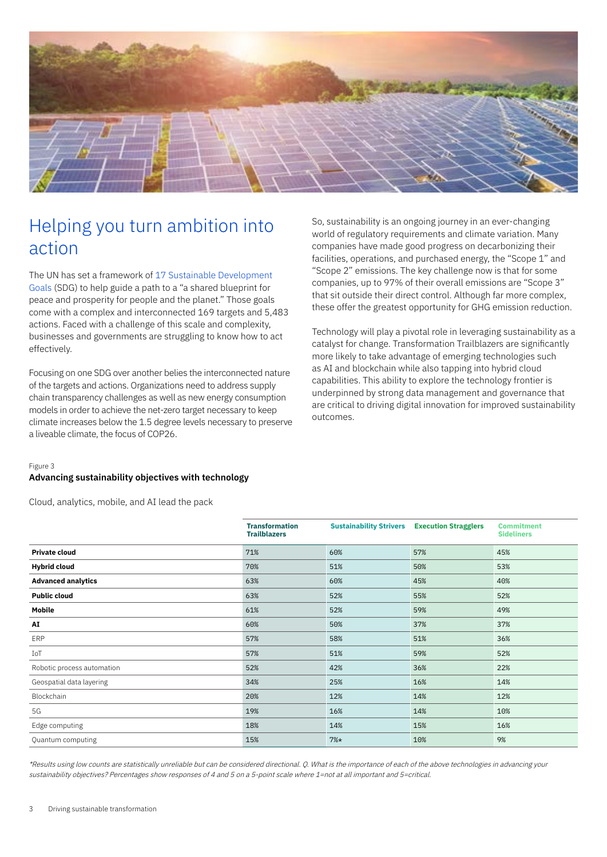

## Helping you turn ambition into action

The UN has set a framework of [17 Sustainable Development](https://sdgs.un.org/goals)  [Goals](https://sdgs.un.org/goals) (SDG) to help guide a path to a "a shared blueprint for peace and prosperity for people and the planet." Those goals come with a complex and interconnected 169 targets and 5,483 actions. Faced with a challenge of this scale and complexity, businesses and governments are struggling to know how to act effectively.

Focusing on one SDG over another belies the interconnected nature of the targets and actions. Organizations need to address supply chain transparency challenges as well as new energy consumption models in order to achieve the net-zero target necessary to keep climate increases below the 1.5 degree levels necessary to preserve a liveable climate, the focus of COP26.

So, sustainability is an ongoing journey in an ever-changing world of regulatory requirements and climate variation. Many companies have made good progress on decarbonizing their facilities, operations, and purchased energy, the "Scope 1" and "Scope 2" emissions. The key challenge now is that for some companies, up to 97% of their overall emissions are "Scope 3" that sit outside their direct control. Although far more complex, these offer the greatest opportunity for GHG emission reduction.

Technology will play a pivotal role in leveraging sustainability as a catalyst for change. Transformation Trailblazers are significantly more likely to take advantage of emerging technologies such as AI and blockchain while also tapping into hybrid cloud capabilities. This ability to explore the technology frontier is underpinned by strong data management and governance that are critical to driving digital innovation for improved sustainability outcomes.

#### Figure 3

#### **Advancing sustainability objectives with technology**

Cloud, analytics, mobile, and AI lead the pack

|                            | <b>Transformation</b><br><b>Trailblazers</b> | <b>Sustainability Strivers</b> | <b>Execution Stragglers</b> | <b>Commitment</b><br><b>Sideliners</b> |
|----------------------------|----------------------------------------------|--------------------------------|-----------------------------|----------------------------------------|
| <b>Private cloud</b>       | 71%                                          | 60%                            | 57%                         | 45%                                    |
| <b>Hybrid cloud</b>        | 70%                                          | 51%                            | 50%                         | 53%                                    |
| <b>Advanced analytics</b>  | 63%                                          | 60%                            | 45%                         | 40%                                    |
| <b>Public cloud</b>        | 63%                                          | 52%                            | 55%                         | 52%                                    |
| Mobile                     | 61%                                          | 52%                            | 59%                         | 49%                                    |
| AI                         | 60%                                          | 50%                            | 37%                         | 37%                                    |
| ERP                        | 57%                                          | 58%                            | 51%                         | 36%                                    |
| IoT                        | 57%                                          | 51%                            | 59%                         | 52%                                    |
| Robotic process automation | 52%                                          | 42%                            | 36%                         | 22%                                    |
| Geospatial data layering   | 34%                                          | 25%                            | 16%                         | 14%                                    |
| Blockchain                 | 20%                                          | 12%                            | 14%                         | 12%                                    |
| 5G                         | 19%                                          | 16%                            | 14%                         | 10%                                    |
| Edge computing             | 18%                                          | 14%                            | 15%                         | 16%                                    |
| Quantum computing          | 15%                                          | $7%$ *                         | 10%                         | 9%                                     |

\*Results using low counts are statistically unreliable but can be considered directional. Q. What is the importance of each of the above technologies in advancing your sustainability objectives? Percentages show responses of 4 and 5 on a 5-point scale where 1=not at all important and 5=critical.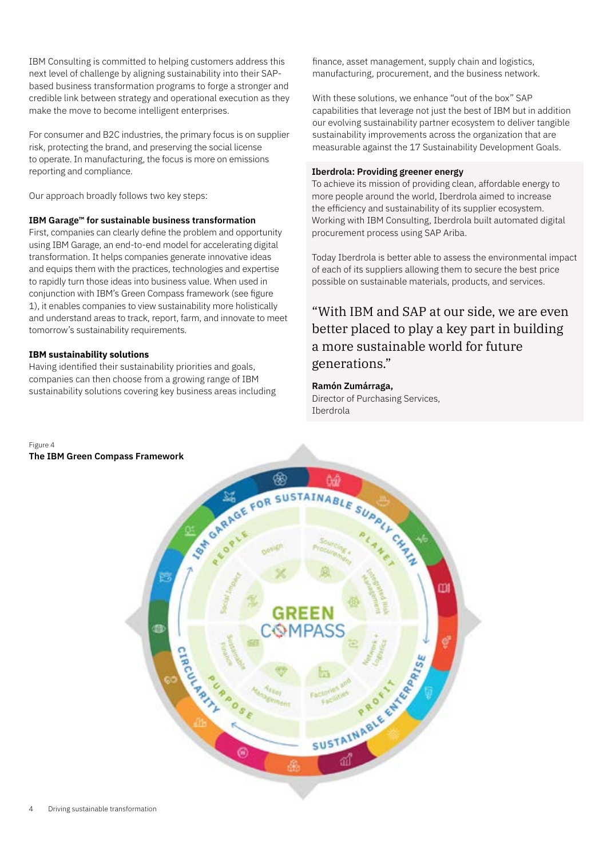IBM Consulting is committed to helping customers address this next level of challenge by aligning sustainability into their SAPbased business transformation programs to forge a stronger and credible link between strategy and operational execution as they make the move to become intelligent enterprises.

For consumer and B2C industries, the primary focus is on supplier risk, protecting the brand, and preserving the social license to operate. In manufacturing, the focus is more on emissions reporting and compliance.

Our approach broadly follows two key steps:

#### **IBM Garage™ for sustainable business transformation**

First, companies can clearly define the problem and opportunity using IBM Garage, an end-to-end model for accelerating digital transformation. It helps companies generate innovative ideas and equips them with the practices, technologies and expertise to rapidly turn those ideas into business value. When used in conjunction with IBM's Green Compass framework (see figure 1), it enables companies to view sustainability more holistically and understand areas to track, report, farm, and innovate to meet tomorrow's sustainability requirements.

#### **IBM sustainability solutions**

Having identified their sustainability priorities and goals, companies can then choose from a growing range of IBM sustainability solutions covering key business areas including finance, asset management, supply chain and logistics, manufacturing, procurement, and the business network.

With these solutions, we enhance "out of the box" SAP capabilities that leverage not just the best of IBM but in addition our evolving sustainability partner ecosystem to deliver tangible sustainability improvements across the organization that are measurable against the 17 Sustainability Development Goals.

#### **Iberdrola: Providing greener energy**

To achieve its mission of providing clean, affordable energy to more people around the world, Iberdrola aimed to increase the efficiency and sustainability of its supplier ecosystem. Working with IBM Consulting, Iberdrola built automated digital procurement process using SAP Ariba.

Today Iberdrola is better able to assess the environmental impact of each of its suppliers allowing them to secure the best price possible on sustainable materials, products, and services.

### "With IBM and SAP at our side, we are even better placed to play a key part in building a more sustainable world for future generations."

#### **Ramón Zumárraga,**

Director of Purchasing Services, Iberdrola

#### Figure 4

#### **The IBM Green Compass Framework**

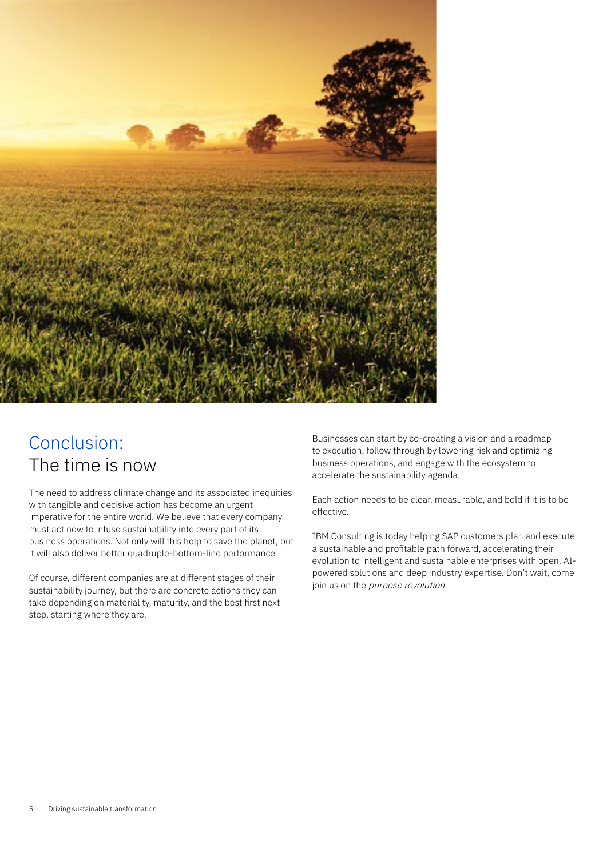

## Conclusion: The time is now

The need to address climate change and its associated inequities with tangible and decisive action has become an urgent imperative for the entire world. We believe that every company must act now to infuse sustainability into every part of its business operations. Not only will this help to save the planet, but it will also deliver better quadruple-bottom-line performance.

Of course, different companies are at different stages of their sustainability journey, but there are concrete actions they can take depending on materiality, maturity, and the best first next step, starting where they are.

Businesses can start by co-creating a vision and a roadmap to execution, follow through by lowering risk and optimizing business operations, and engage with the ecosystem to accelerate the sustainability agenda.

Each action needs to be clear, measurable, and bold if it is to be effective.

IBM Consulting is today helping SAP customers plan and execute a sustainable and profitable path forward, accelerating their evolution to intelligent and sustainable enterprises with open, AIpowered solutions and deep industry expertise. Don't wait, come join us on the *purpose revolution*.